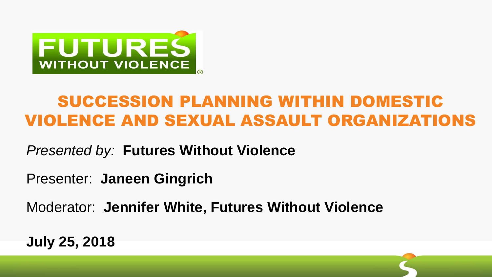

#### SUCCESSION PLANNING WITHIN DOMESTIC VIOLENCE AND SEXUAL ASSAULT ORGANIZATIONS

*Presented by:* **Futures Without Violence**

Presenter: **Janeen Gingrich**

Moderator: **Jennifer White, Futures Without Violence**

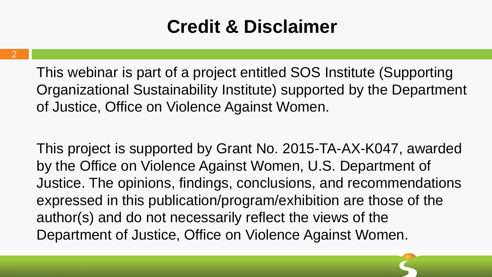## **Credit & Disclaimer**

This webinar is part of a project entitled SOS Institute (Supporting Organizational Sustainability Institute) supported by the Department of Justice, Office on Violence Against Women.

This project is supported by Grant No. 2015-TA-AX-K047, awarded by the Office on Violence Against Women, U.S. Department of Justice. The opinions, findings, conclusions, and recommendations expressed in this publication/program/exhibition are those of the author(s) and do not necessarily reflect the views of the Department of Justice, Office on Violence Against Women.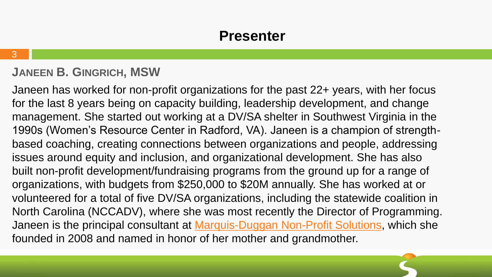#### **JANEEN B. GINGRICH, MSW**

Janeen has worked for non-profit organizations for the past 22+ years, with her focus for the last 8 years being on capacity building, leadership development, and change management. She started out working at a DV/SA shelter in Southwest Virginia in the 1990s (Women's Resource Center in Radford, VA). Janeen is a champion of strengthbased coaching, creating connections between organizations and people, addressing issues around equity and inclusion, and organizational development. She has also built non-profit development/fundraising programs from the ground up for a range of organizations, with budgets from \$250,000 to \$20M annually. She has worked at or volunteered for a total of five DV/SA organizations, including the statewide coalition in North Carolina (NCCADV), where she was most recently the Director of Programming. Janeen is the principal consultant at [Marquis-Duggan Non-Profit Solutions,](http://www.janeengingrich.com/) which she founded in 2008 and named in honor of her mother and grandmother.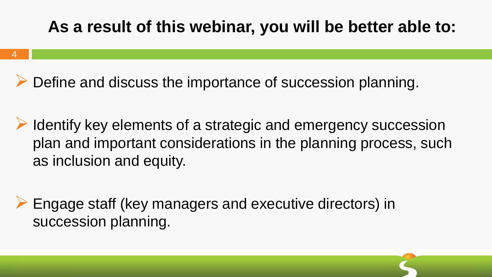#### **As a result of this webinar, you will be better able to:**

Define and discuss the importance of succession planning.

- Identify key elements of a strategic and emergency succession plan and important considerations in the planning process, such as inclusion and equity.
- Engage staff (key managers and executive directors) in succession planning.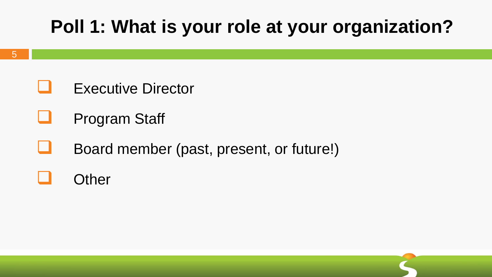## **Poll 1: What is your role at your organization?**

- Executive Director
- Program Staff
- Board member (past, present, or future!)

#### **Other**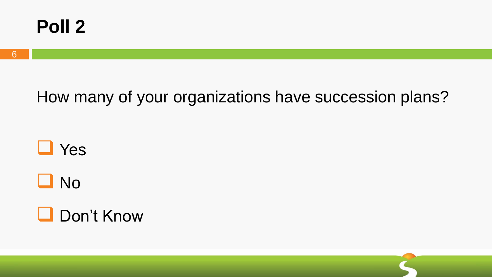

#### How many of your organizations have succession plans?



**O** No

**Don't Know**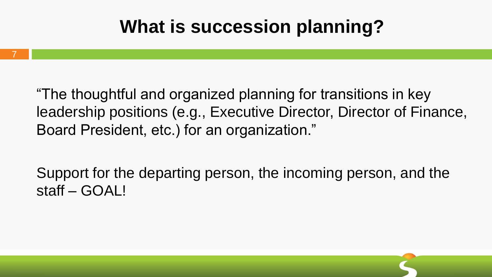## **What is succession planning?**

7

"The thoughtful and organized planning for transitions in key leadership positions (e.g., Executive Director, Director of Finance, Board President, etc.) for an organization."

Support for the departing person, the incoming person, and the staff – GOAL!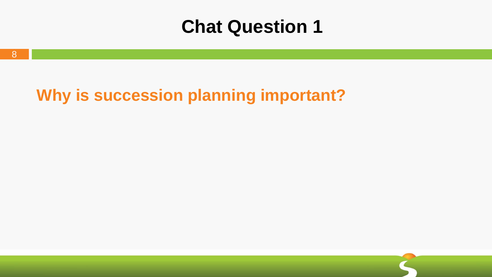#### **Chat Question 1**

#### **Why is succession planning important?**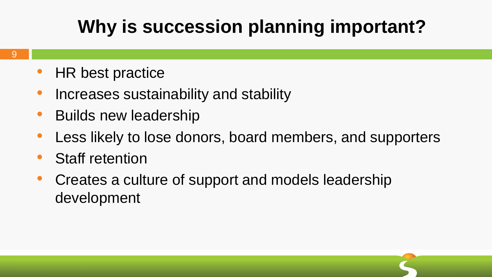## **Why is succession planning important?**

- HR best practice
- Increases sustainability and stability
- Builds new leadership
- Less likely to lose donors, board members, and supporters
- Staff retention
- Creates a culture of support and models leadership development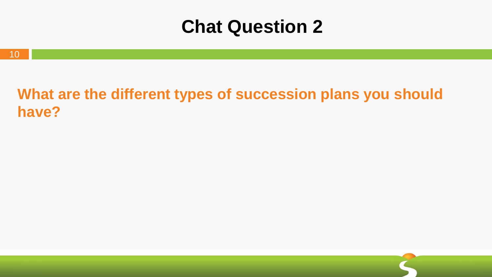### **Chat Question 2**

#### **What are the different types of succession plans you should have?**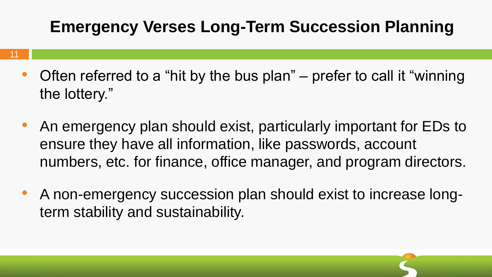#### **Emergency Verses Long-Term Succession Planning**

- Often referred to a "hit by the bus plan" prefer to call it "winning the lottery."
- An emergency plan should exist, particularly important for EDs to ensure they have all information, like passwords, account numbers, etc. for finance, office manager, and program directors.
- A non-emergency succession plan should exist to increase longterm stability and sustainability.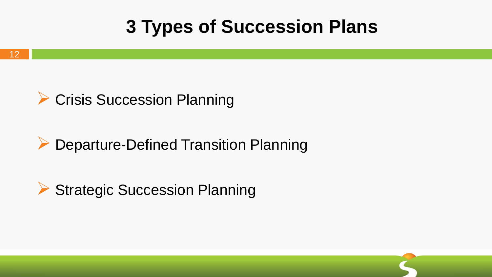## **3 Types of Succession Plans**



#### ▶ Departure-Defined Transition Planning

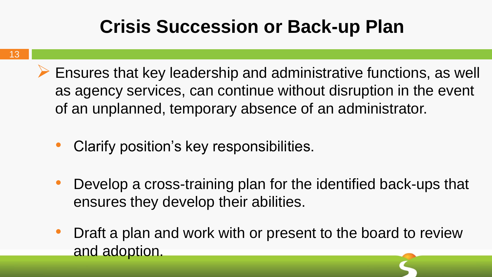## **Crisis Succession or Back-up Plan**

- $\triangleright$  Ensures that key leadership and administrative functions, as well as agency services, can continue without disruption in the event of an unplanned, temporary absence of an administrator.
	- Clarify position's key responsibilities.
	- Develop a cross-training plan for the identified back-ups that ensures they develop their abilities.
	- Draft a plan and work with or present to the board to review and adoption.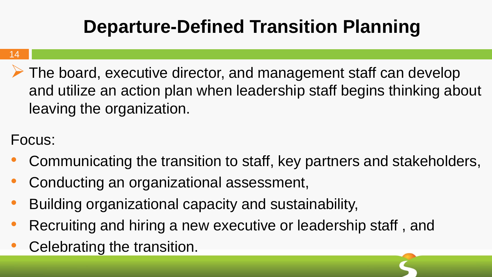# **Departure-Defined Transition Planning**

#### 14

 $\triangleright$  The board, executive director, and management staff can develop and utilize an action plan when leadership staff begins thinking about leaving the organization.

#### Focus:

- Communicating the transition to staff, key partners and stakeholders,
- Conducting an organizational assessment,
- Building organizational capacity and sustainability,
- Recruiting and hiring a new executive or leadership staff, and
- Celebrating the transition.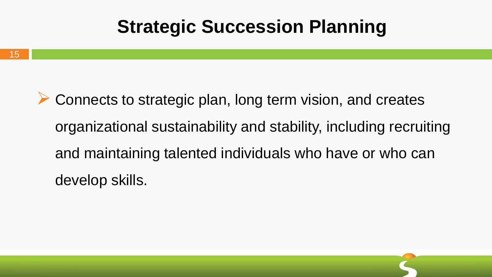### **Strategic Succession Planning**

**► Connects to strategic plan, long term vision, and creates** organizational sustainability and stability, including recruiting and maintaining talented individuals who have or who can develop skills.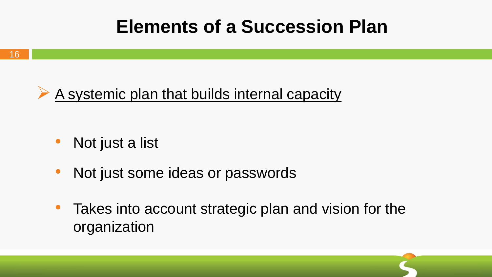### **Elements of a Succession Plan**



- Not just a list
- Not just some ideas or passwords
- Takes into account strategic plan and vision for the organization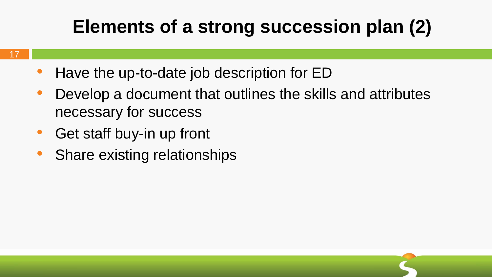## **Elements of a strong succession plan (2)**

- Have the up-to-date job description for ED
- Develop a document that outlines the skills and attributes necessary for success
- Get staff buy-in up front
- Share existing relationships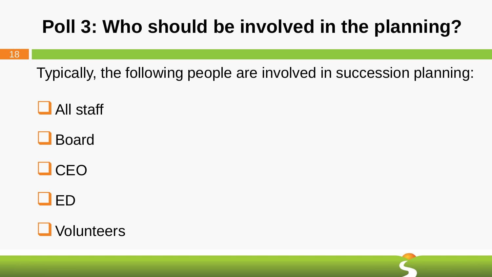# **Poll 3: Who should be involved in the planning?**

Typically, the following people are involved in succession planning:

 $\Box$  All staff

**Board** 

 $\Box$ CEO

 $\square$  ED

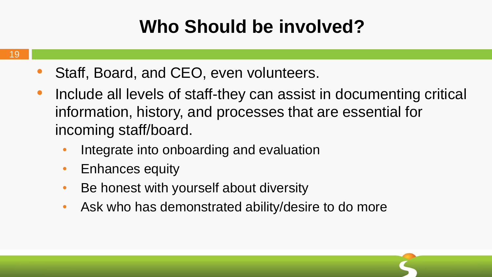## **Who Should be involved?**

- 19
- Staff, Board, and CEO, even volunteers.
- Include all levels of staff-they can assist in documenting critical information, history, and processes that are essential for incoming staff/board.
	- Integrate into onboarding and evaluation
	- Enhances equity
	- Be honest with yourself about diversity
	- Ask who has demonstrated ability/desire to do more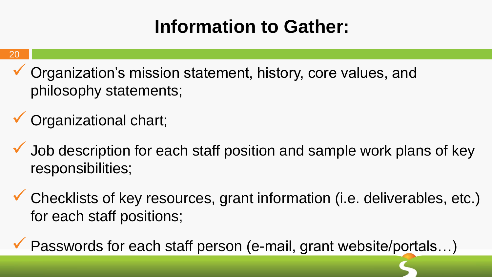## **Information to Gather:**

#### 20

- Organization's mission statement, history, core values, and philosophy statements;
- Organizational chart;
- $\checkmark$  Job description for each staff position and sample work plans of key responsibilities;
- Checklists of key resources, grant information (i.e. deliverables, etc.) for each staff positions;
- Passwords for each staff person (e-mail, grant website/portals…)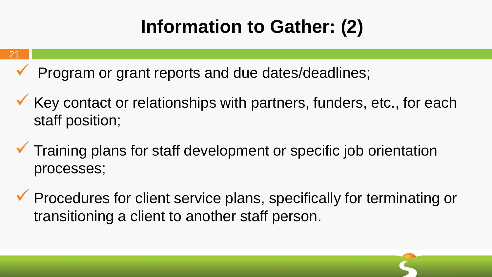# **Information to Gather: (2)**

#### 21

Program or grant reports and due dates/deadlines;

- $\checkmark$  Key contact or relationships with partners, funders, etc., for each staff position;
- $\checkmark$  Training plans for staff development or specific job orientation processes;
- **V** Procedures for client service plans, specifically for terminating or transitioning a client to another staff person.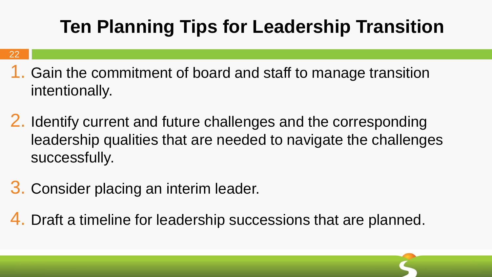# **Ten Planning Tips for Leadership Transition**

#### 22

- 1. Gain the commitment of board and staff to manage transition intentionally.
- 2. Identify current and future challenges and the corresponding leadership qualities that are needed to navigate the challenges successfully.
- 3. Consider placing an interim leader.
- 4. Draft a timeline for leadership successions that are planned.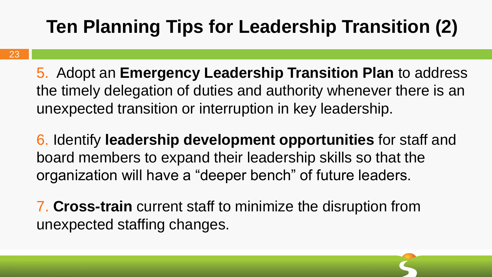# **Ten Planning Tips for Leadership Transition (2)**

5. Adopt an **Emergency Leadership Transition Plan** to address the timely delegation of duties and authority whenever there is an unexpected transition or interruption in key leadership.

6. Identify **leadership development opportunities** for staff and board members to expand their leadership skills so that the organization will have a "deeper bench" of future leaders.

7. **Cross-train** current staff to minimize the disruption from unexpected staffing changes.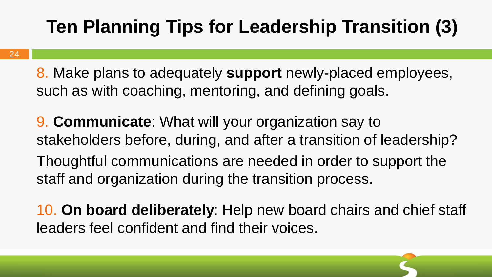# **Ten Planning Tips for Leadership Transition (3)**

8. Make plans to adequately **support** newly-placed employees, such as with coaching, mentoring, and defining goals.

9. **Communicate**: What will your organization say to stakeholders before, during, and after a transition of leadership? Thoughtful communications are needed in order to support the

staff and organization during the transition process.

10. **On board deliberately**: Help new board chairs and chief staff leaders feel confident and find their voices.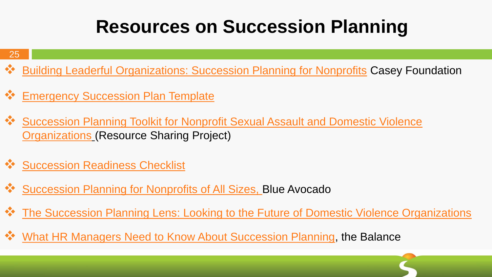## **Resources on Succession Planning**

#### 25

- ◆ Building Leaderful [Organizations: Succession Planning for Nonprofits](http://www.aecf.org/m/resourcedoc/AECF-BuildingLeaderfulOrganizations-2008-Full.pdf) Casey Foundation
- **<sup>❖</sup> [Emergency Succession Plan Template](https://www.compasspoint.org/sites/default/files/documents/520_emergencysuccessionplanmo.pdf)**
- <u><sup>◆</sup> Succession Planning Toolkit for Nonprofit Sexual Assault and Domestic Violence</u> Organizations (Resource Sharing Project)
- [Succession Readiness Checklist](https://www.compasspoint.org/sites/default/files/documents/724_successionreadinesscheckl.pdf)
- [Succession Planning for Nonprofits of All Sizes, B](http://www.blueavocado.org/content/succession-planning-nonprofits-all-sizes)lue Avocado
- \*\* The Succession Planning Lens: Looking to the Future of Domestic Violence Organizations
- [What HR Managers Need to Know About Succession Planning,](https://www.thebalance.com/succession-planning-1918267) the Balance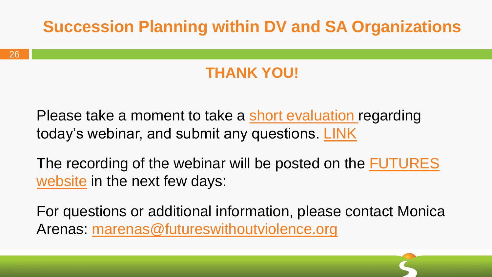#### **Succession Planning within DV and SA Organizations**

#### **THANK YOU!**

Please take a moment to take a [short evaluation](https://www.surveymonkey.com/r/JD78NCQ) regarding today's webinar, and submit any questions. [LINK](https://www.surveymonkey.com/r/JD78NCQ)

[The recording of the webinar will be posted on the FUTURES](https://www.futureswithoutviolence.org/resources-events/webinars/)  website in the next few days:

For questions or additional information, please contact Monica Arenas: [marenas@futureswithoutviolence.org](mailto:marenas@futureswithoutviolence.org)